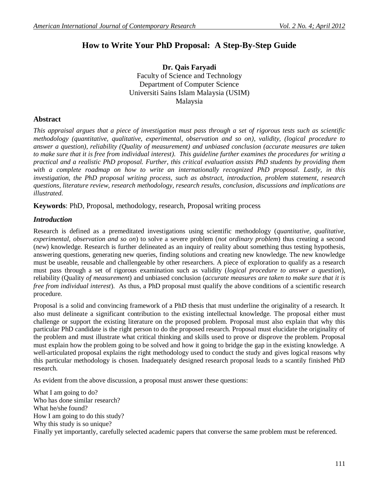# **How to Write Your PhD Proposal: A Step-By-Step Guide**

**Dr. Qais Faryadi** Faculty of Science and Technology Department of Computer Science Universiti Sains Islam Malaysia (USIM) Malaysia

### **Abstract**

*This appraisal argues that a piece of investigation must pass through a set of rigorous tests such as scientific methodology (quantitative, qualitative, experimental, observation and so on), validity, (logical procedure to answer a question), reliability (Quality of measurement) and unbiased conclusion (accurate measures are taken to make sure that it is free from individual interest). This guideline further examines the procedures for writing a practical and a realistic PhD proposal. Further, this critical evaluation assists PhD students by providing them with a complete roadmap on how to write an internationally recognized PhD proposal. Lastly, in this investigation, the PhD proposal writing process, such as abstract, introduction, problem statement, research questions, literature review, research methodology, research results, conclusion, discussions and implications are illustrated.* 

**Keywords**: PhD, Proposal, methodology, research, Proposal writing process

### *Introduction*

Research is defined as a premeditated investigations using scientific methodology (*quantitative, qualitative, experimental, observation and so on*) to solve a severe problem (*not ordinary problem*) thus creating a second (*new*) knowledge. Research is further delineated as an inquiry of reality about something thus testing hypothesis, answering questions, generating new queries, finding solutions and creating new knowledge. The new knowledge must be useable, reusable and challengeable by other researchers. A piece of exploration to qualify as a research must pass through a set of rigorous examination such as validity (*logical procedure to answer a question*), reliability (Quality *of measurement*) and unbiased conclusion (*accurate measures are taken to make sure that it is free from individual interest*). As thus, a PhD proposal must qualify the above conditions of a scientific research procedure.

Proposal is a solid and convincing framework of a PhD thesis that must underline the originality of a research. It also must delineate a significant contribution to the existing intellectual knowledge. The proposal either must challenge or support the existing literature on the proposed problem. Proposal must also explain that why this particular PhD candidate is the right person to do the proposed research. Proposal must elucidate the originality of the problem and must illustrate what critical thinking and skills used to prove or disprove the problem. Proposal must explain how the problem going to be solved and how it going to bridge the gap in the existing knowledge. A well-articulated proposal explains the right methodology used to conduct the study and gives logical reasons why this particular methodology is chosen. Inadequately designed research proposal leads to a scantily finished PhD research.

As evident from the above discussion, a proposal must answer these questions:

What I am going to do? Who has done similar research? What he/she found? How I am going to do this study? Why this study is so unique? Finally yet importantly, carefully selected academic papers that converse the same problem must be referenced.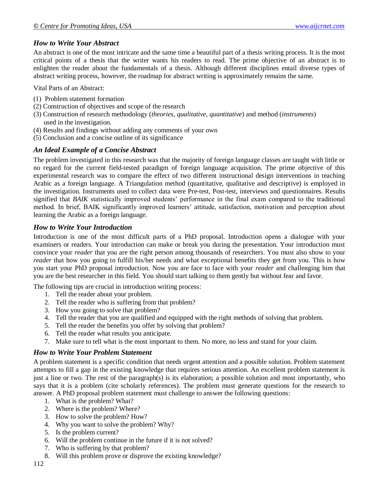## *How to Write Your Abstract*

An abstract is one of the most intricate and the same time a beautiful part of a thesis writing process. It is the most critical points of a thesis that the writer wants his readers to read. The prime objective of an abstract is to enlighten the reader about the fundamentals of a thesis. Although different disciplines entail diverse types of abstract writing process, however, the roadmap for abstract writing is approximately remains the same.

Vital Parts of an Abstract:

- (1) Problem statement formation
- (2) Construction of objectives and scope of the research
- (3) Construction of research methodology (*theories, qualitative, quantitative*) and method (*instruments*) used in the investigation.
- (4) Results and findings without adding any comments of your own
- (5) Conclusion and a concise outline of its significance

# *An Ideal Example of a Concise Abstract*

The problem investigated in this research was that the majority of foreign language classes are taught with little or no regard for the current field-tested paradigm of foreign language acquisition. The prime objective of this experimental research was to compare the effect of two different instructional design interventions in teaching Arabic as a foreign language. A Triangulation method (quantitative, qualitative and descriptive) is employed in the investigation. Instruments used to collect data were Pre-test, Post-test, interviews and questionnaires. Results signified that *BAIK* statistically improved students' performance in the final exam compared to the traditional method. In brief, BAIK significantly improved learners' attitude, satisfaction, motivation and perception about learning the Arabic as a foreign language.

# *How to Write Your Introduction*

Introduction is one of the most difficult parts of a PhD proposal. Introduction opens a dialogue with your examiners or readers. Your introduction can make or break you during the presentation. Your introduction must convince your *reader* that you are the right person among thousands of researchers. You must also show to your *reader* that how you going to fulfill his/her needs and what exceptional benefits they get from you. This is how you start your PhD proposal introduction. Now you are face to face with your *reader* and challenging him that you are the best researcher in this field. You should start talking to them gently but without fear and favor.

The following tips are crucial in introduction writing process:

- 1. Tell the reader about your problem.
- 2. Tell the reader who is suffering from that problem?
- 3. How you going to solve that problem?
- 4. Tell the reader that you are qualified and equipped with the right methods of solving that problem.
- 5. Tell the reader the benefits you offer by solving that problem?
- 6. Tell the reader what results you anticipate.
- 7. Make sure to tell what is the most important to them. No more, no less and stand for your claim.

# *How to Write Your Problem Statement*

A problem statement is a specific condition that needs urgent attention and a possible solution. Problem statement attempts to fill a gap in the existing knowledge that requires serious attention. An excellent problem statement is just a line or two. The rest of the paragraph(s) is its elaboration; a possible solution and most importantly, who says that it is a problem (cite scholarly references). The problem must generate questions for the research to answer. A PhD proposal problem statement must challenge to answer the following questions:

- 1. What is the problem? What?
- 2. Where is the problem? Where?
- 3. How to solve the problem? How?
- 4. Why you want to solve the problem? Why?
- 5. Is the problem current?
- 6. Will the problem continue in the future if it is not solved?
- 7. Who is suffering by that problem?
- 8. Will this problem prove or disprove the existing knowledge?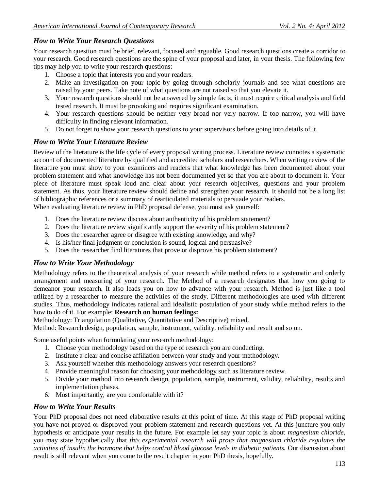# *How to Write Your Research Questions*

Your research question must be brief, relevant, focused and arguable. Good research questions create a corridor to your research. Good research questions are the spine of your proposal and later, in your thesis. The following few tips may help you to write your research questions:

- 1. Choose a topic that interests you and your readers.
- 2. Make an investigation on your topic by going through scholarly journals and see what questions are raised by your peers. Take note of what questions are not raised so that you elevate it.
- 3. Your research questions should not be answered by simple facts; it must require critical analysis and field tested research. It must be provoking and requires significant examination.
- 4. Your research questions should be neither very broad nor very narrow. If too narrow, you will have difficulty in finding relevant information.
- 5. Do not forget to show your research questions to your supervisors before going into details of it.

### *How to Write Your Literature Review*

Review of the literature is the life cycle of every proposal writing process. Literature review connotes a systematic account of documented literature by qualified and accredited scholars and researchers. When writing review of the literature you must show to your examiners and readers that what knowledge has been documented about your problem statement and what knowledge has not been documented yet so that you are about to document it. Your piece of literature must speak loud and clear about your research objectives, questions and your problem statement. As thus, your literature review should define and strengthen your research. It should not be a long list of bibliographic references or a summary of rearticulated materials to persuade your readers.

When evaluating literature review in PhD proposal defense, you must ask yourself:

- 1. Does the literature review discuss about authenticity of his problem statement?
- 2. Does the literature review significantly support the severity of his problem statement?
- 3. Does the researcher agree or disagree with existing knowledge, and why?
- 4. Is his/her final judgment or conclusion is sound, logical and persuasive?
- 5. Does the researcher find literatures that prove or disprove his problem statement?

### *How to Write Your Methodology*

Methodology refers to the theoretical analysis of your research while method refers to a systematic and orderly arrangement and measuring of your research. The Method of a research designates that how you going to demeanor your research. It also leads you on how to advance with your research. Method is just like a tool utilized by a researcher to measure the activities of the study. Different methodologies are used with different studies. Thus, methodology indicates rational and idealistic postulation of your study while method refers to the how to do of it. For example: **Research on human feelings:**

Methodology: Triangulation (Qualitative, Quantitative and Descriptive) mixed.

Method: Research design, population, sample, instrument, validity, reliability and result and so on.

Some useful points when formulating your research methodology:

- 1. Choose your methodology based on the type of research you are conducting.
- 2. Institute a clear and concise affiliation between your study and your methodology.
- 3. Ask yourself whether this methodology answers your research questions?
- 4. Provide meaningful reason for choosing your methodology such as literature review.
- 5. Divide your method into research design, population, sample, instrument, validity, reliability, results and implementation phases.
- 6. Most importantly, are you comfortable with it?

### *How to Write Your Results*

Your PhD proposal does not need elaborative results at this point of time. At this stage of PhD proposal writing you have not proved or disproved your problem statement and research questions yet. At this juncture you only hypothesis or anticipate your results in the future. For example let say your topic is about *magnesium chloride*, you may state hypothetically that *this experimental research will prove that magnesium chloride regulates the activities of insulin the hormone that helps control blood glucose levels in diabetic patients.* Our discussion about result is still relevant when you come to the result chapter in your PhD thesis, hopefully.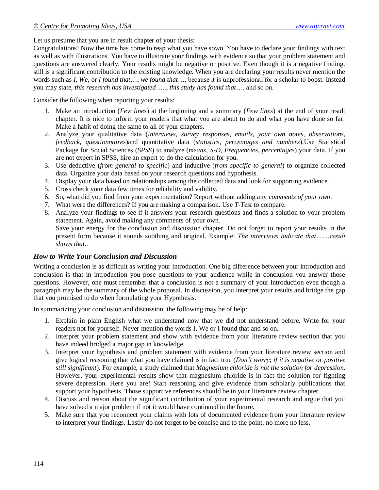Let us presume that you are in result chapter of your thesis:

Congratulations! Now the time has come to reap what you have sown. You have to declare your findings with text as well as with illustrations. You have to illustrate your findings with evidence so that your problem statement and questions are answered clearly. Your results might be negative or positive. Even though it is a negative finding, still is a significant contribution to the existing knowledge. When you are declaring your results never mention the words such as *I, We*, or *I found that*…, *we found that*…, because it is unprofessional for a scholar to boost. Instead you may state, *this research has investigated*….., *this study has found that*…. and so on.

Consider the following when reporting your results:

- 1. Make an introduction (*Few lines*) at the beginning and a summary (*Few lines*) at the end of your result chapter. It is nice to inform your readers that what you are about to do and what you have done so far. Make a habit of doing the same to all of your chapters.
- 2. Analyze your qualitative data (*interviews, survey responses, emails, your own notes, observations, feedback, questionnaires*)and quantitative data (*statistics, percentages and numbers*).Use Statistical Package for Social Sciences (*SPSS*) to analyze (*means, S-D, Frequencies*, *percentages*) your data. If you are not expert in SPSS, hire an expert to do the calculation for you.
- 3. Use deductive (*from general to specific*) and inductive (*from specific to general*) to organize collected data. Organize your data based on your research questions and hypothesis.
- 4. Display your data based on relationships among the collected data and look for supporting evidence.
- 5. Cross check your data few times for reliability and validity.
- 6. So, what did you find from your experimentation? Report without adding any *comments of your own*.
- 7. What were the differences? If you are making a comparison. Use *T-Test* to compare.
- 8. Analyze your findings to see if it answers your research questions and finds a solution to your problem statement. Again, avoid making any comments of your own. Save your energy for the conclusion and discussion chapter. Do not forget to report your results in the present form because it sounds soothing and original. Example: *The interviews indicate that…….result shows that..*

### *How to Write Your Conclusion and Discussion*

Writing a conclusion is as difficult as writing your introduction. One big difference between your introduction and conclusion is that in introduction you pose questions to your audience while in conclusion you answer those questions. However, one must remember that a conclusion is not a summary of your introduction even though a paragraph may be the summary of the whole proposal. In discussion, you interpret your results and bridge the gap that you promised to do when formulating your Hypothesis.

In summarizing your conclusion and discussion, the following may be of help:

- 1. Explain in plain English what we understand now that we did not understand before. Write for your readers not for yourself. Never mention the words I, We or I found that and so on.
- 2. Interpret your problem statement and show with evidence from your literature review section that you have indeed bridged a major gap in knowledge.
- 3. Interpret your hypothesis and problem statement with evidence from your literature review section and give logical reasoning that what you have claimed is in fact true (*Don't worry*; *if it is negative or positive still significant*). For example, a study claimed that *Magnesium chloride is not the solution for depression*. However, your experimental results show that magnesium chloride is in fact the solution for fighting severe depression. Here you are! Start reasoning and give evidence from scholarly publications that support your hypothesis. Those supportive references should be in your literature review chapter.
- 4. Discuss and reason about the significant contribution of your experimental research and argue that you have solved a major problem if not it would have continued in the future.
- 5. Make sure that you reconnect your claims with lots of documented evidence from your literature review to interpret your findings. Lastly do not forget to be concise and to the point, no more no less.